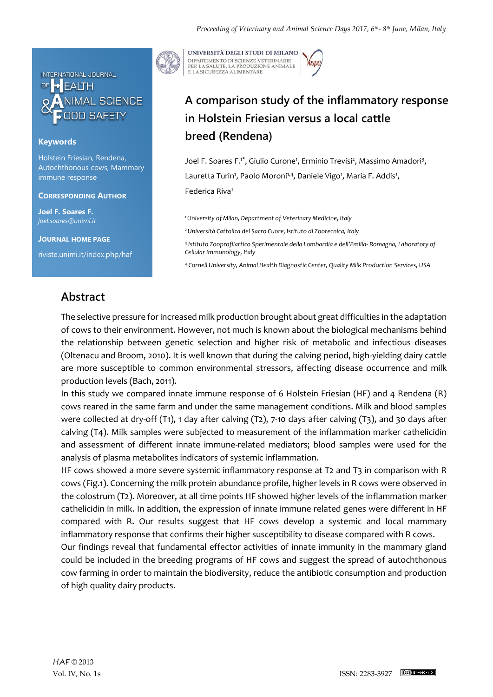

## **Keywords**

Holstein Friesian, Rendena, Autochthonous cows, Mammary immune response

### **CORRESPONDING AUTHOR**

**Joel F. Soares F.** *joel.soares@unimi.it*

**JOURNAL HOME PAGE**

riviste.unimi.it/index.php/haf

UNIVERSITÀ DEGLI STUDI DI MILANO DIPARTIMENTO DI SCIENZE VETERINARIE PER LA SALUTE, LA PRODUZIONE ANIMALE<br>E LA SICUREZZA ALIMENTARE

# **A comparison study of the inflammatory response in Holstein Friesian versus a local cattle breed (Rendena)**

Joel F. Soares F.<sup>1\*</sup>, Giulio Curone<sup>1</sup>, Erminio Trevisi<sup>2</sup>, Massimo Amadori<sup>3</sup>, Lauretta Turin<sup>1</sup>, Paolo Moroni<sup>1,4</sup>, Daniele Vigo<sup>1</sup>, Maria F. Addis<sup>1</sup>, Federica Riva<sup>1</sup>

*<sup>1</sup>University of Milan, Department of Veterinary Medicine, Italy* 

*<sup>2</sup>Università Cattolica del Sacro Cuore, Istituto di Zootecnica, Italy*

*3 Istituto Zooprofilattico Sperimentale della Lombardia e dell'Emilia- Romagna, Laboratory of Cellular Immunology, Italy*

*<sup>4</sup> Cornell University, Animal Health Diagnostic Center, Quality Milk Production Services, USA*

## **Abstract**

The selective pressure for increased milk production brought about great difficulties in the adaptation of cows to their environment. However, not much is known about the biological mechanisms behind the relationship between genetic selection and higher risk of metabolic and infectious diseases (Oltenacu and Broom, 2010). It is well known that during the calving period, high-yielding dairy cattle are more susceptible to common environmental stressors, affecting disease occurrence and milk production levels (Bach, 2011).

In this study we compared innate immune response of 6 Holstein Friesian (HF) and 4 Rendena (R) cows reared in the same farm and under the same management conditions. Milk and blood samples were collected at dry-off (T1), 1 day after calving (T2), 7-10 days after calving (T3), and 30 days after calving (T4). Milk samples were subjected to measurement of the inflammation marker cathelicidin and assessment of different innate immune-related mediators; blood samples were used for the analysis of plasma metabolites indicators of systemic inflammation.

HF cows showed a more severe systemic inflammatory response at T2 and T3 in comparison with R cows (Fig.1). Concerning the milk protein abundance profile, higher levels in R cows were observed in the colostrum (T2). Moreover, at all time points HF showed higher levels of the inflammation marker cathelicidin in milk. In addition, the expression of innate immune related genes were different in HF compared with R. Our results suggest that HF cows develop a systemic and local mammary inflammatory response that confirms their higher susceptibility to disease compared with R cows.

Our findings reveal that fundamental effector activities of innate immunity in the mammary gland could be included in the breeding programs of HF cows and suggest the spread of autochthonous cow farming in order to maintain the biodiversity, reduce the antibiotic consumption and production of high quality dairy products.